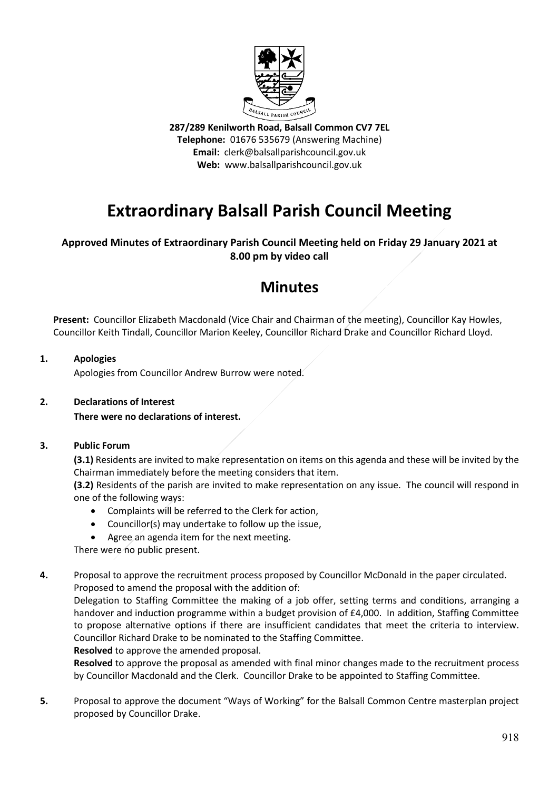

**287/289 Kenilworth Road, Balsall Common CV7 7EL Telephone:** 01676 535679 (Answering Machine) **Email:** clerk@balsallparishcouncil.gov.uk **Web:** www.balsallparishcouncil.gov.uk

# **Extraordinary Balsall Parish Council Meeting**

### **Approved Minutes of Extraordinary Parish Council Meeting held on Friday 29 January 2021 at 8.00 pm by video call**

## **Minutes**

Present: Councillor Elizabeth Macdonald (Vice Chair and Chairman of the meeting), Councillor Kay Howles, Councillor Keith Tindall, Councillor Marion Keeley, Councillor Richard Drake and Councillor Richard Lloyd.

#### **1. Apologies**

Apologies from Councillor Andrew Burrow were noted.

#### **2. Declarations of Interest**

**There were no declarations of interest.**

#### **3. Public Forum**

**(3.1)** Residents are invited to make representation on items on this agenda and these will be invited by the Chairman immediately before the meeting considers that item.

**(3.2)** Residents of the parish are invited to make representation on any issue. The council will respond in one of the following ways:

- Complaints will be referred to the Clerk for action,
- Councillor(s) may undertake to follow up the issue,
- Agree an agenda item for the next meeting.

There were no public present.

**4.** Proposal to approve the recruitment process proposed by Councillor McDonald in the paper circulated. Proposed to amend the proposal with the addition of:

Delegation to Staffing Committee the making of a job offer, setting terms and conditions, arranging a handover and induction programme within a budget provision of £4,000. In addition, Staffing Committee to propose alternative options if there are insufficient candidates that meet the criteria to interview. Councillor Richard Drake to be nominated to the Staffing Committee.

**Resolved** to approve the amended proposal.

**Resolved** to approve the proposal as amended with final minor changes made to the recruitment process by Councillor Macdonald and the Clerk. Councillor Drake to be appointed to Staffing Committee.

**5.** Proposal to approve the document "Ways of Working" for the Balsall Common Centre masterplan project proposed by Councillor Drake.